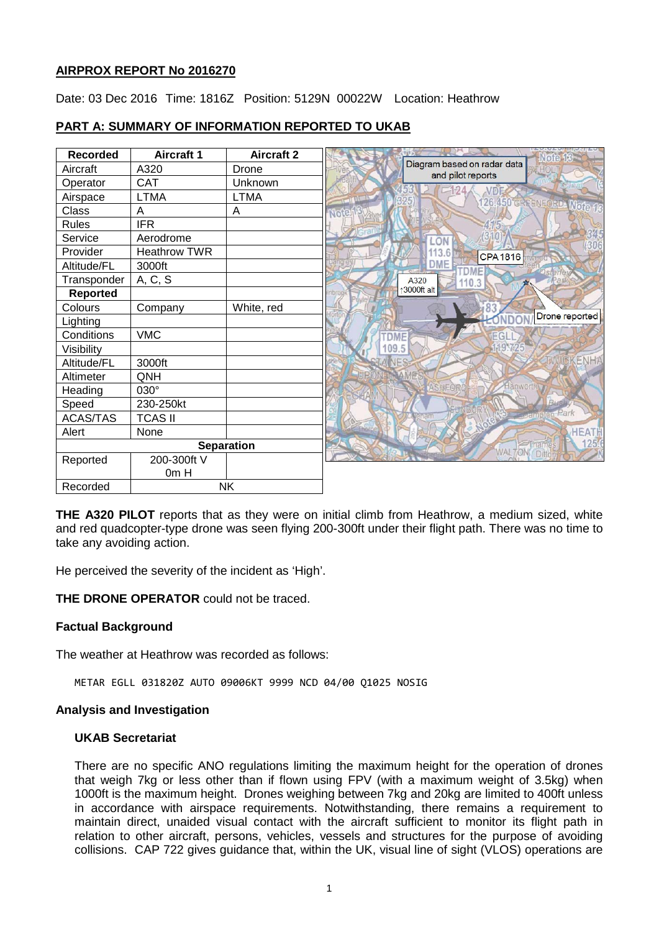## **AIRPROX REPORT No 2016270**

Date: 03 Dec 2016 Time: 1816Z Position: 5129N 00022W Location: Heathrow

### **PART A: SUMMARY OF INFORMATION REPORTED TO UKAB**

| <b>Recorded</b>   | <b>Aircraft 1</b>   | <b>Aircraft 2</b> |                                           |                                                           |
|-------------------|---------------------|-------------------|-------------------------------------------|-----------------------------------------------------------|
| Aircraft          | A320                | Drone             |                                           | Diagram based on radar data<br>(जान)<br>and pilot reports |
| Operator          | CAT                 | Unknown           |                                           |                                                           |
| Airspace          | <b>LTMA</b>         | LTMA              |                                           | VDI<br>126.450 GREENFORD Moto 18                          |
| Class             | Α                   | A                 | Note                                      |                                                           |
| <b>Rules</b>      | <b>IFR</b>          |                   |                                           |                                                           |
| Service           | Aerodrome           |                   |                                           | LON                                                       |
| Provider          | <b>Heathrow TWR</b> |                   |                                           | 113.6<br><b>CPA1816</b>                                   |
| Altitude/FL       | 3000ft              |                   |                                           | <b>DME</b><br><b>DMF</b>                                  |
| Transponder       | A, C, S             |                   |                                           | A320<br>'an<br>110.3                                      |
| Reported          |                     |                   |                                           | ↑3000ft alt                                               |
| Colours           | Company             | White, red        |                                           |                                                           |
| Lighting          |                     |                   |                                           | Drone reported                                            |
| Conditions        | <b>VMC</b>          |                   | <b>DME</b>                                |                                                           |
| Visibility        |                     |                   | 109.5                                     | 195725                                                    |
| Altitude/FL       | 3000ft              |                   |                                           | ENHA                                                      |
| Altimeter         | QNH                 |                   |                                           |                                                           |
| Heading           | $030^\circ$         |                   |                                           | Hanworth                                                  |
| Speed             | 230-250kt           |                   |                                           |                                                           |
| <b>ACAS/TAS</b>   | <b>TCAS II</b>      |                   |                                           | <b>Actual Contracts</b><br>180.                           |
| Alert             | None                |                   |                                           | <b>HEATH</b>                                              |
| <b>Separation</b> |                     |                   | 125.<br>Thame<br><b>WALTONY</b><br>Dittor |                                                           |
| Reported          | 200-300ft V         |                   |                                           |                                                           |
|                   | 0m H                |                   |                                           |                                                           |
| Recorded          | <b>NK</b>           |                   |                                           |                                                           |

**THE A320 PILOT** reports that as they were on initial climb from Heathrow, a medium sized, white and red quadcopter-type drone was seen flying 200-300ft under their flight path. There was no time to take any avoiding action.

He perceived the severity of the incident as 'High'.

**THE DRONE OPERATOR** could not be traced.

### **Factual Background**

The weather at Heathrow was recorded as follows:

METAR EGLL 031820Z AUTO 09006KT 9999 NCD 04/00 Q1025 NOSIG

#### **Analysis and Investigation**

### **UKAB Secretariat**

There are no specific ANO regulations limiting the maximum height for the operation of drones that weigh 7kg or less other than if flown using FPV (with a maximum weight of 3.5kg) when 1000ft is the maximum height. Drones weighing between 7kg and 20kg are limited to 400ft unless in accordance with airspace requirements. Notwithstanding, there remains a requirement to maintain direct, unaided visual contact with the aircraft sufficient to monitor its flight path in relation to other aircraft, persons, vehicles, vessels and structures for the purpose of avoiding collisions. CAP 722 gives guidance that, within the UK, visual line of sight (VLOS) operations are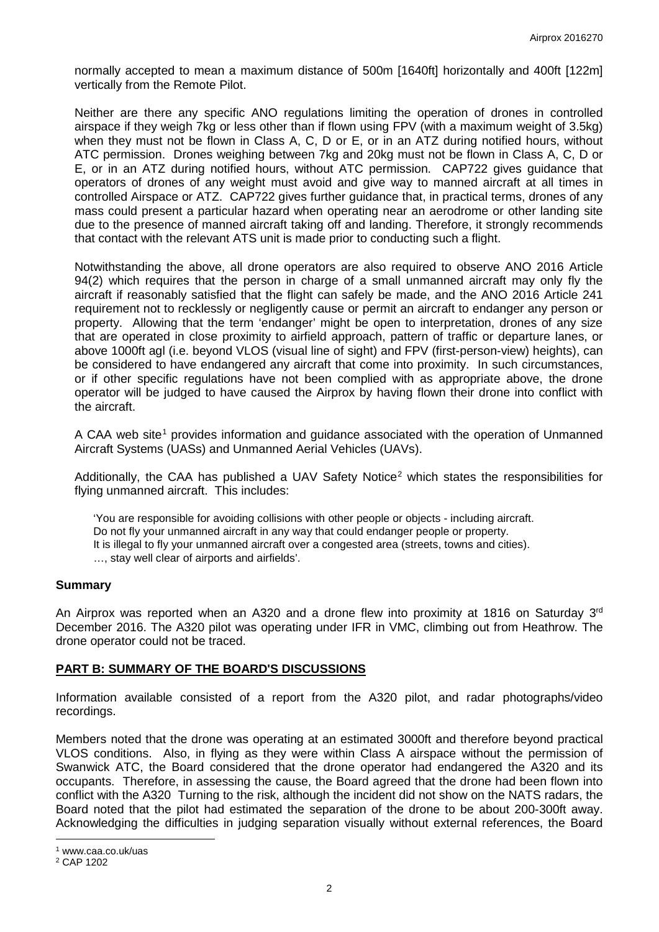normally accepted to mean a maximum distance of 500m [1640ft] horizontally and 400ft [122m] vertically from the Remote Pilot.

Neither are there any specific ANO regulations limiting the operation of drones in controlled airspace if they weigh 7kg or less other than if flown using FPV (with a maximum weight of 3.5kg) when they must not be flown in Class A, C, D or E, or in an ATZ during notified hours, without ATC permission. Drones weighing between 7kg and 20kg must not be flown in Class A, C, D or E, or in an ATZ during notified hours, without ATC permission. CAP722 gives guidance that operators of drones of any weight must avoid and give way to manned aircraft at all times in controlled Airspace or ATZ. CAP722 gives further guidance that, in practical terms, drones of any mass could present a particular hazard when operating near an aerodrome or other landing site due to the presence of manned aircraft taking off and landing. Therefore, it strongly recommends that contact with the relevant ATS unit is made prior to conducting such a flight.

Notwithstanding the above, all drone operators are also required to observe ANO 2016 Article 94(2) which requires that the person in charge of a small unmanned aircraft may only fly the aircraft if reasonably satisfied that the flight can safely be made, and the ANO 2016 Article 241 requirement not to recklessly or negligently cause or permit an aircraft to endanger any person or property. Allowing that the term 'endanger' might be open to interpretation, drones of any size that are operated in close proximity to airfield approach, pattern of traffic or departure lanes, or above 1000ft agl (i.e. beyond VLOS (visual line of sight) and FPV (first-person-view) heights), can be considered to have endangered any aircraft that come into proximity. In such circumstances, or if other specific regulations have not been complied with as appropriate above, the drone operator will be judged to have caused the Airprox by having flown their drone into conflict with the aircraft.

A CAA web site<sup>[1](#page-1-0)</sup> provides information and quidance associated with the operation of Unmanned Aircraft Systems (UASs) and Unmanned Aerial Vehicles (UAVs).

Additionally, the CAA has published a UAV Safety Notice<sup>[2](#page-1-1)</sup> which states the responsibilities for flying unmanned aircraft. This includes:

'You are responsible for avoiding collisions with other people or objects - including aircraft. Do not fly your unmanned aircraft in any way that could endanger people or property. It is illegal to fly your unmanned aircraft over a congested area (streets, towns and cities). …, stay well clear of airports and airfields'.

### **Summary**

An Airprox was reported when an A320 and a drone flew into proximity at 1816 on Saturday  $3<sup>rd</sup>$ December 2016. The A320 pilot was operating under IFR in VMC, climbing out from Heathrow. The drone operator could not be traced.

### **PART B: SUMMARY OF THE BOARD'S DISCUSSIONS**

Information available consisted of a report from the A320 pilot, and radar photographs/video recordings.

Members noted that the drone was operating at an estimated 3000ft and therefore beyond practical VLOS conditions. Also, in flying as they were within Class A airspace without the permission of Swanwick ATC, the Board considered that the drone operator had endangered the A320 and its occupants. Therefore, in assessing the cause, the Board agreed that the drone had been flown into conflict with the A320 Turning to the risk, although the incident did not show on the NATS radars, the Board noted that the pilot had estimated the separation of the drone to be about 200-300ft away. Acknowledging the difficulties in judging separation visually without external references, the Board

l

<span id="page-1-0"></span><sup>1</sup> www.caa.co.uk/uas

<span id="page-1-1"></span><sup>2</sup> CAP 1202